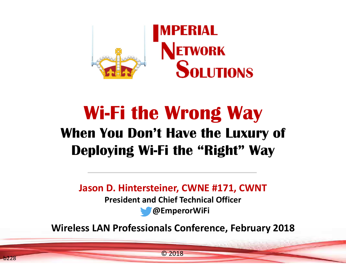

## **Wi-Fi the Wrong Way When You Don't Have the Luxury of Deploying Wi-Fi the "Right" Way**

**Jason D. Hintersteiner, CWNE #171, CWNT**

**President and Chief Technical Officer**

**@EmperorWiFi**

**Wireless LAN Professionals Conference, February 2018**

© <sup>2018</sup>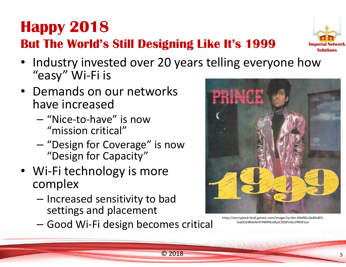### **Happy 2018But The World's Still Designing Like It's 1999**



- Industry invested over 20 years telling everyone how "easy" Wi-Fi is
- Demands on our networks have increased
	- –- "Nice-to-have" is now<br>""issier" exities!" "mission critical"
	- "Design for Coverage" is now<br>"Design for Conseity" "Design for Capacity"
- Wi-Fi technology is more complex
	- –- Increased sensitivity to bad settings and placement
	- –— Good Wi-Fi design becomes critical



https://encrypted-tbn0.gstatic.com/images?q=tbn:ANd9GcQs80vBYj-GaDOe9BdvNJ4T4WRlKoiByzC9SSPm6cVIfNSFJosi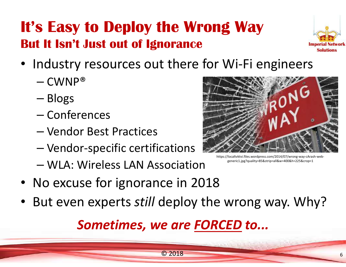#### **It's Easy to Deploy the Wrong WayBut It Isn't Just out of Ignorance**



- Industry resources out there for Wi-Fi engineers
	- – $-$  CWNP®
	- –— Blogs
	- –— Conferences
	- –— Vendor Best Practices
	- –— Vendor-specific certifications
	- –WLA: Wireless LAN Association
- No excuse for ignorance in 2018
- But even experts *still* deploy the wrong way. Why?

# *Sometimes, we are FORCED to...*



https://localtvktvi.files.wordpress.com/2014/07/wrong-way-cArash-webgeneric1.jpg?quality=85&strip=all&w=400&h=225&crop=1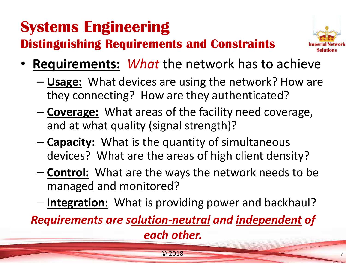## **Systems Engineering**

**Distinguishing Requirements and Constraints**



- **Requirements:** *What* the network has to achieve
	- – **Usage:** What devices are using the network? How are they connecting? How are they authenticated?
	- – **Coverage:** What areas of the facility need coverage, and at what quality (signal strength)?
	- – **Capacity:** What is the quantity of simultaneous devices? What are the areas of high client density?
	- –- **Control:** What are the ways the network needs to be managed and monitored?
	- –**Integration:** What is providing power and backhaul?

*Requirements are solution-neutral and independent of each other.*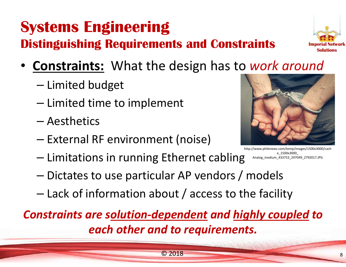### **Systems EngineeringDistinguishing Requirements and Constraints**

- **Constraints:** What the design has to *work around*
	- –— Limited budget
	- – $-$  Limited time to implement
	- –— Aesthetics
	- –— External RF environment (noise)
	- – $-$  Limitations in running Ethernet cabling http://www.philenews.com/temp/images/1500x3000/cachAnalog\_medium\_433753\_297049\_2792017.JPG
	- –Dictates to use particular AP vendors / models
	- –Lack of information about / access to the facility

*Constraints are solution-dependent and highly coupled to each other and to requirements.*

© <sup>2018</sup>



e\_1500x3000\_



8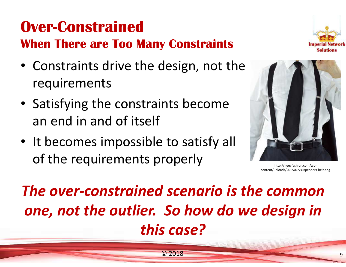## **Over-Constrained**

#### **When There are Too Many Constraints**

- Constraints drive the design, not the requirements
- Satisfying the constraints becomean end in and of itself
- It becomes impossible to satisfy all of the requirements properly





http://heeyfashion.com/wpcontent/uploads/2015/07/suspenders-belt.png

*The over-constrained scenario is the common one, not the outlier. So how do we design in this case?*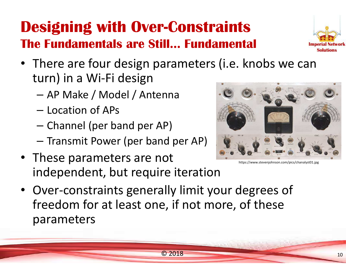#### **Designing with Over-ConstraintsThe Fundamentals are Still… Fundamental**



- There are four design parameters (i.e. knobs we canturn) in a Wi-Fi design
	- AP Make / Model / Antenna
	- Location of APs
	- $-$  Channel (per band per AP)
	- – $-$  Transmit Power (per band per AP)
- These parameters are not independent, but require iteration



https://www.stevenjohnson.com/pics/chanalyst01.jpg

• Over-constraints generally limit your degrees of freedom for at least one, if not more, of these parameters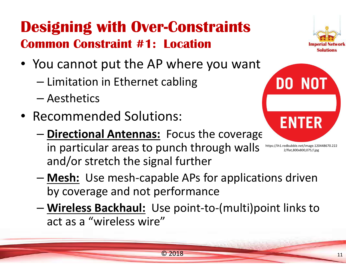### **Designing with Over-ConstraintsCommon Constraint #1: Location**



- You cannot put the AP where you want
	- –— Limitation in Ethernet cabling
	- –— Aesthetics
- Recommended Solutions:
	- – **Directional Antennas:** Focus the coverage in particular areas to punch through wallsand/or stretch the signal furtherhttps://ih1.redbubble.net/image.120448670.222



2/flat,800x800,075,f.jpg

- – **Mesh:** Use mesh-capable APs for applications driven by coverage and not performance
- – **Wireless Backhaul:** Use point-to-(multi)point links to act as a "wireless wire"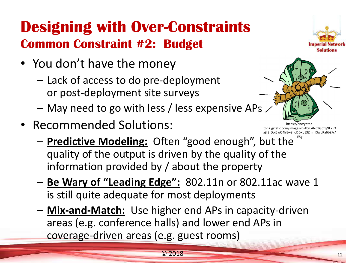### **Designing with Over-ConstraintsCommon Constraint #2: Budget**

- You don't have the money
	- –- Lack of access to do pre-deployment or post-deployment site surveys
	- –May need to go with less / less expensive APs
- Recommended Solutions:



https://encryptedtbn2.gstatic.com/images?q=tbn:ANd9GcTqNLYu3 ajlI3rDoj5wO4lrEw8\_oDDXoE3ZnImISwdRa6bZFc4E5g

- **Predictive Modeling:** Often "good enough", but the quality of the output is driven by the quality of the information provided by / about the property
- – **Be Wary of "Leading Edge":** 802.11n or 802.11ac wave 1 is still quite adequate for most deployments
- – **Mix-and-Match:** Use higher end APs in capacity-driven areas (e.g. conference halls) and lower end APs in coverage-driven areas (e.g. guest rooms)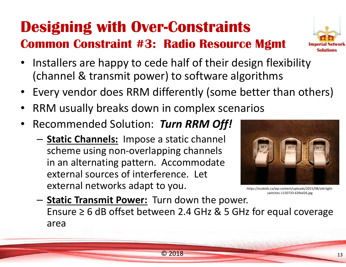# **Designing with Over-Constraints**

#### **Common Constraint #3: Radio Resource Mgmt**

- Installers are happy to cede half of their design flexibility (channel & transmit power) to software algorithms
- Every vendor does RRM differently (some better than others)
- •RRM usually breaks down in complex scenarios
- • Recommended Solution: *Turn RRM Off!*
	- – **Static Channels:** Impose a static channel scheme using non-overlapping channels in an alternating pattern. Accommodate external sources of interference. Let external networks adapt to you.



https://ecokids.ca/wp-content/uploads/2015/08/old-lightswitches-1150733-639x426.jpg

– **Static Transmit Power:** Turn down the power. Ensure  $\geq 6$  dB offset between 2.4 GHz & 5 GHz for equal coverage area

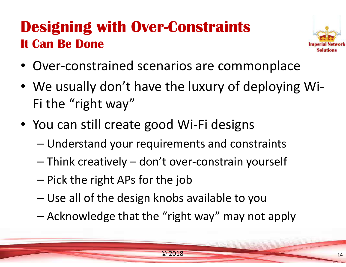## **Designing with Over-ConstraintsIt Can Be Done**



- Over-constrained scenarios are commonplace
- We usually don't have the luxury of deploying Wi-Fi the "right way"
- You can still create good Wi-Fi designs
	- –Understand your requirements and constraints
	- –Think creatively – don't over-constrain yourself
	- – $-$  Pick the right APs for the job
	- –Use all of the design knobs available to you
	- –Acknowledge that the "right way" may not apply